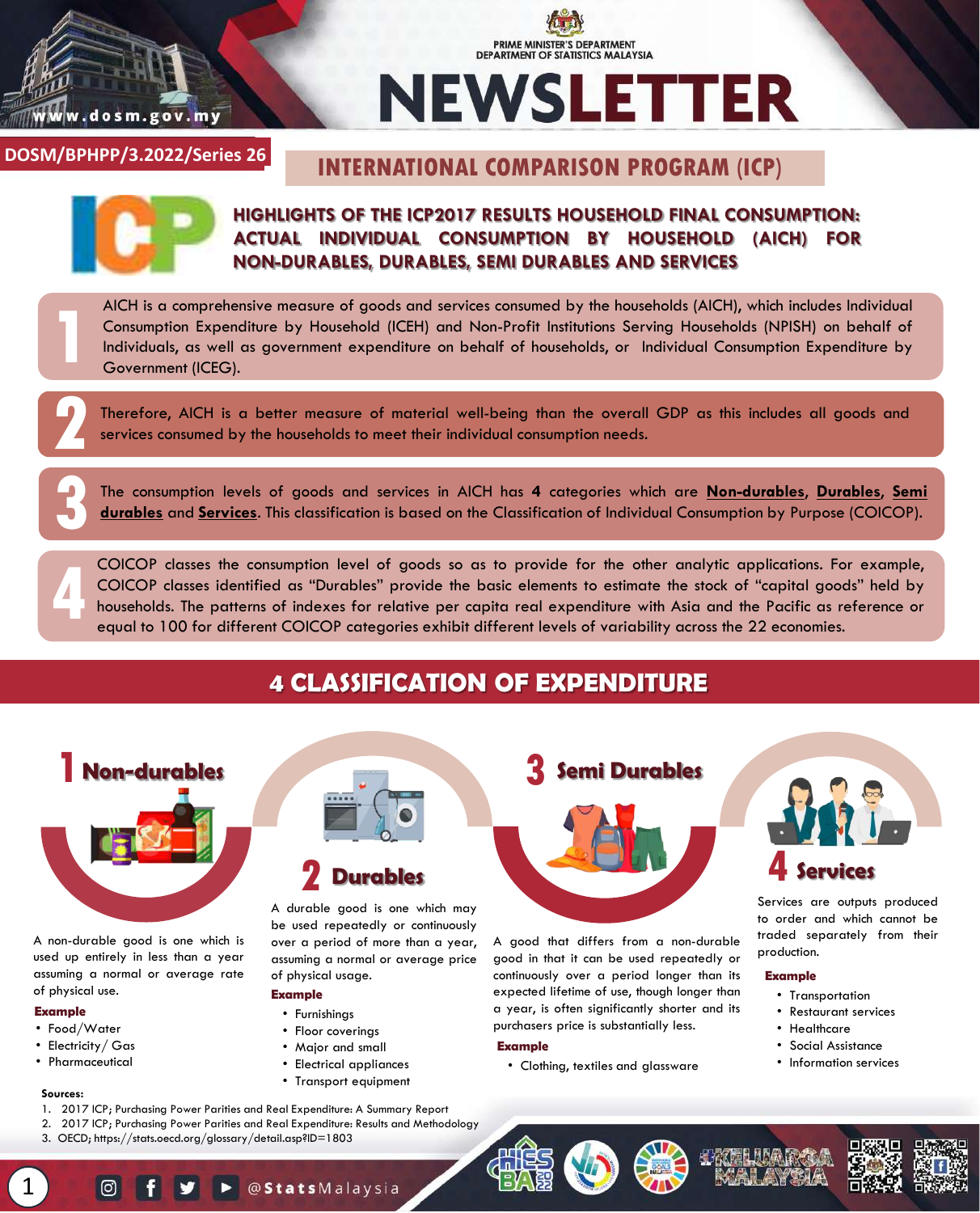

# PRIME MINISTER'S DEPARTMENT DEPARTMENT OF STATISTICS MALAYSIA **NEWSLETTER**

**DOSM/BKS/x.2022/Series x DOSM/BPHPP/3.2022/Series 26**

# **INTERNATIONAL COMPARISON PROGRAM (ICP)**



**1**

**2**

## **HIGHLIGHTS OF THE ICP2017 RESULTS HOUSEHOLD FINAL CONSUMPTION: ACTUAL INDIVIDUAL CONSUMPTION BY HOUSEHOLD (AICH) FOR NON-DURABLES, DURABLES, SEMI DURABLES AND SERVICES**

AICH is a comprehensive measure of goods and services consumed by the households (AICH), which includes Individual Consumption Expenditure by Household (ICEH) and Non-Profit Institutions Serving Households (NPISH) on behalf of Individuals, as well as government expenditure on behalf of households, or Individual Consumption Expenditure by Government (ICEG).

Therefore, AICH is a better measure of material well-being than the overall GDP as this includes all goods and services consumed by the households to meet their individual consumption needs.

The consumption levels of goods and services in AICH has **4** categories which are <u>Non-durables</u>, <u>Durables, Semi</u><br>**durables** and **Services.** This classification is based on the Classification of Individual Consumption by

**4** COICOP classes the consumption level of goods so as to provide for the other analytic applications. For example, COICOP classes identified as "Durables" provide the basic elements to estimate the stock of "capital goods" held by households. The patterns of indexes for relative per capita real expenditure with Asia and the Pacific as reference or equal to 100 for different COICOP categories exhibit different levels of variability across the 22 economies.

# **4 CLASSIFICATION OF EXPENDITURE**



A non-durable good is one which is used up entirely in less than a year assuming a normal or average rate of physical use.

### **Example**

- Food/Water
- Electricity/ Gas
- Pharmaceutical

### **Sources:**

1

- 1. 2017 ICP; Purchasing Power Parities and Real Expenditure: A Summary Report
- 2. 2017 ICP; Purchasing Power Parities and Real Expenditure: Results and Methodology
- 3. OECD; https://stats.oecd.org/glossary/detail.asp?ID=1803



## **Durables 2**

A durable good is one which may be used repeatedly or continuously over a period of more than a year, assuming a normal or average price of physical usage.

## **Example**

- Furnishings
- Floor coverings
- Major and small
- Electrical appliances
- Transport equipment



A good that differs from a non-durable good in that it can be used repeatedly or continuously over a period longer than its expected lifetime of use, though longer than a year, is often significantly shorter and its purchasers price is substantially less.

### **Example**

• Clothing, textiles and glassware



Services are outputs produced to order and which cannot be traded separately from their production.

### **Example**

- Transportation
- Restaurant services
- Healthcare
- Social Assistance
- Information services

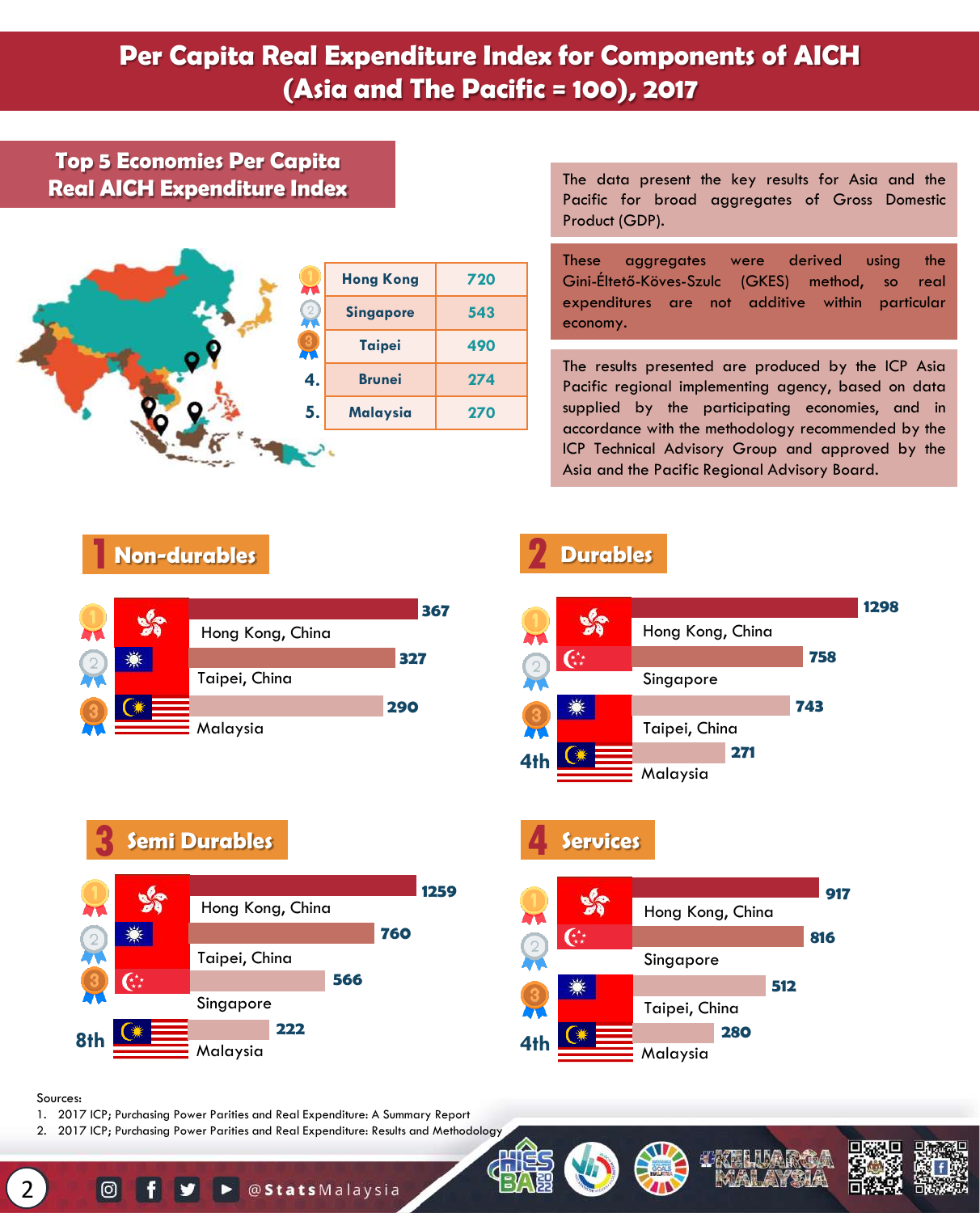# **Per Capita Real Expenditure Index for Components of AICH (Asia and The Pacific = 100), 2017**

## **Top 5 Economies Per Capita Real AICH Expenditure Index**



The data present the key results for Asia and the Pacific for broad aggregates of Gross Domestic Product (GDP).

These aggregates were derived using the Gini-Éltető-Köves-Szulc (GKES) method, so real expenditures are not additive within particular economy.

The results presented are produced by the ICP Asia Pacific regional implementing agency, based on data supplied by the participating economies, and in accordance with the methodology recommended by the ICP Technical Advisory Group and approved by the Asia and the Pacific Regional Advisory Board.

## **1 1Non-durables Durables**



# **2**



# $\frac{1}{3}$  **Semi Durables**





## Sources:

- 1. 2017 ICP; Purchasing Power Parities and Real Expenditure: A Summary Report
- 2. 2017 ICP; Purchasing Power Parities and Real Expenditure: Results and Methodology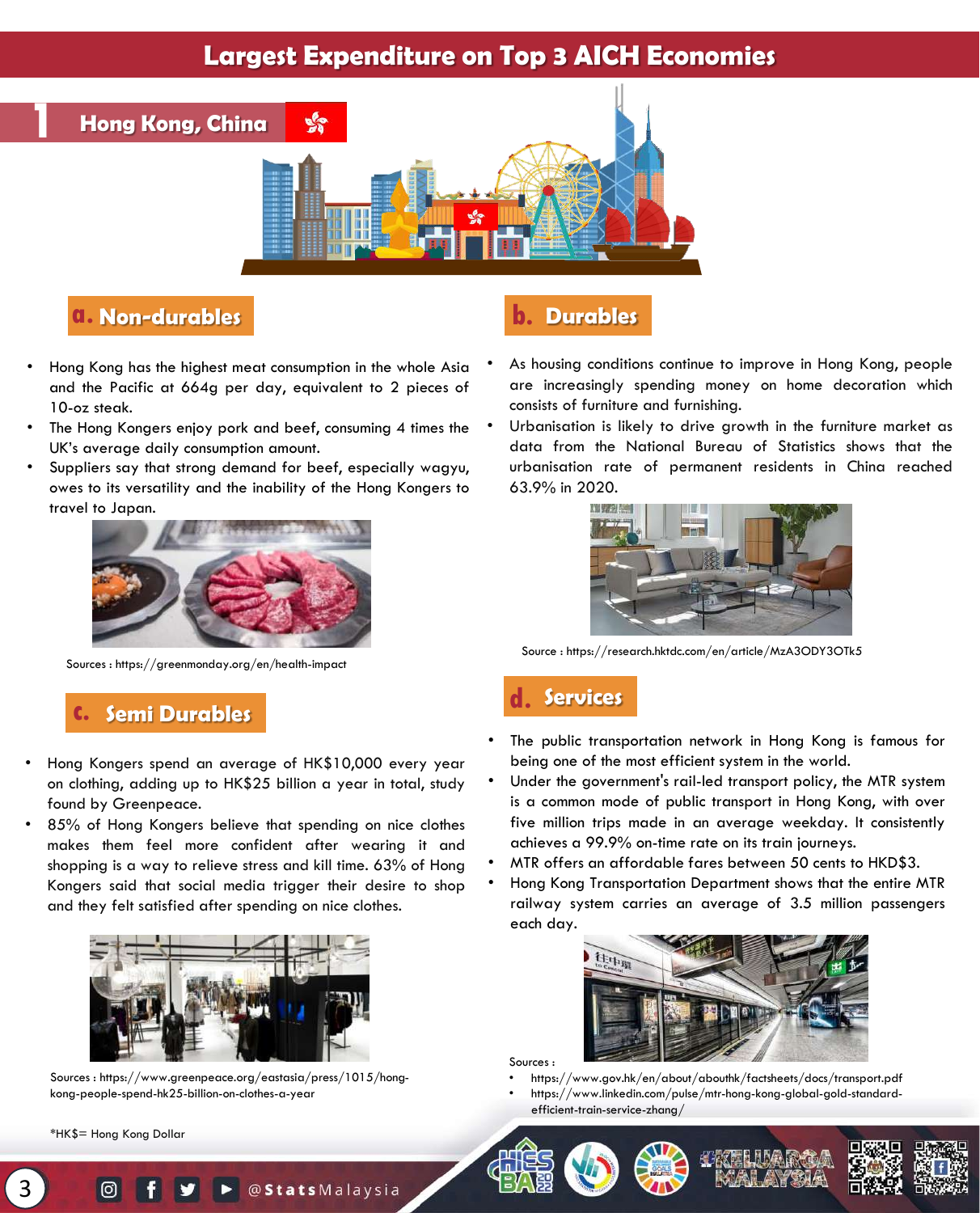## **Largest Expenditure on Top 3 AICH Economies**



## **a. Non-durables b. Durables**

- Hong Kong has the highest meat consumption in the whole Asia and the Pacific at 664g per day, equivalent to 2 pieces of 10-oz steak.
- The Hong Kongers enjoy pork and beef, consuming 4 times the UK's average daily consumption amount.
- Suppliers say that strong demand for beef, especially wagyu, owes to its versatility and the inability of the Hong Kongers to travel to Japan.



Sources : https://greenmonday.org/en/health-impact

# **c. Semi Durables d. Services**

- Hong Kongers spend an average of HK\$10,000 every year on clothing, adding up to HK\$25 billion a year in total, study found by Greenpeace.
- 85% of Hong Kongers believe that spending on nice clothes makes them feel more confident after wearing it and shopping is a way to relieve stress and kill time. 63% of Hong Kongers said that social media trigger their desire to shop and they felt satisfied after spending on nice clothes.



Sources : https://www.greenpeace.org/eastasia/press/1015/hongkong-people-spend-hk25-billion-on-clothes-a-year

\*HK\$= Hong Kong Dollar

3

- As housing conditions continue to improve in Hong Kong, people are increasingly spending money on home decoration which consists of furniture and furnishing.
- Urbanisation is likely to drive growth in the furniture market as data from the National Bureau of Statistics shows that the urbanisation rate of permanent residents in China reached 63.9% in 2020.



Source : https://research.hktdc.com/en/article/MzA3ODY3OTk5

- The public transportation network in Hong Kong is famous for being one of the most efficient system in the world.
- Under the government's rail-led transport policy, the MTR system is a common mode of public transport in Hong Kong, with over five million trips made in an average weekday. It consistently achieves a 99.9% on-time rate on its train journeys.
- MTR offers an affordable fares between 50 cents to HKD\$3.
- Hong Kong Transportation Department shows that the entire MTR railway system carries an average of 3.5 million passengers each day.



Sources :

• https://www.gov.hk/en/about/abouthk/factsheets/docs/transport.pdf • https://www.linkedin.com/pulse/mtr-hong-kong-global-gold-standardefficient-train-service-zhang/





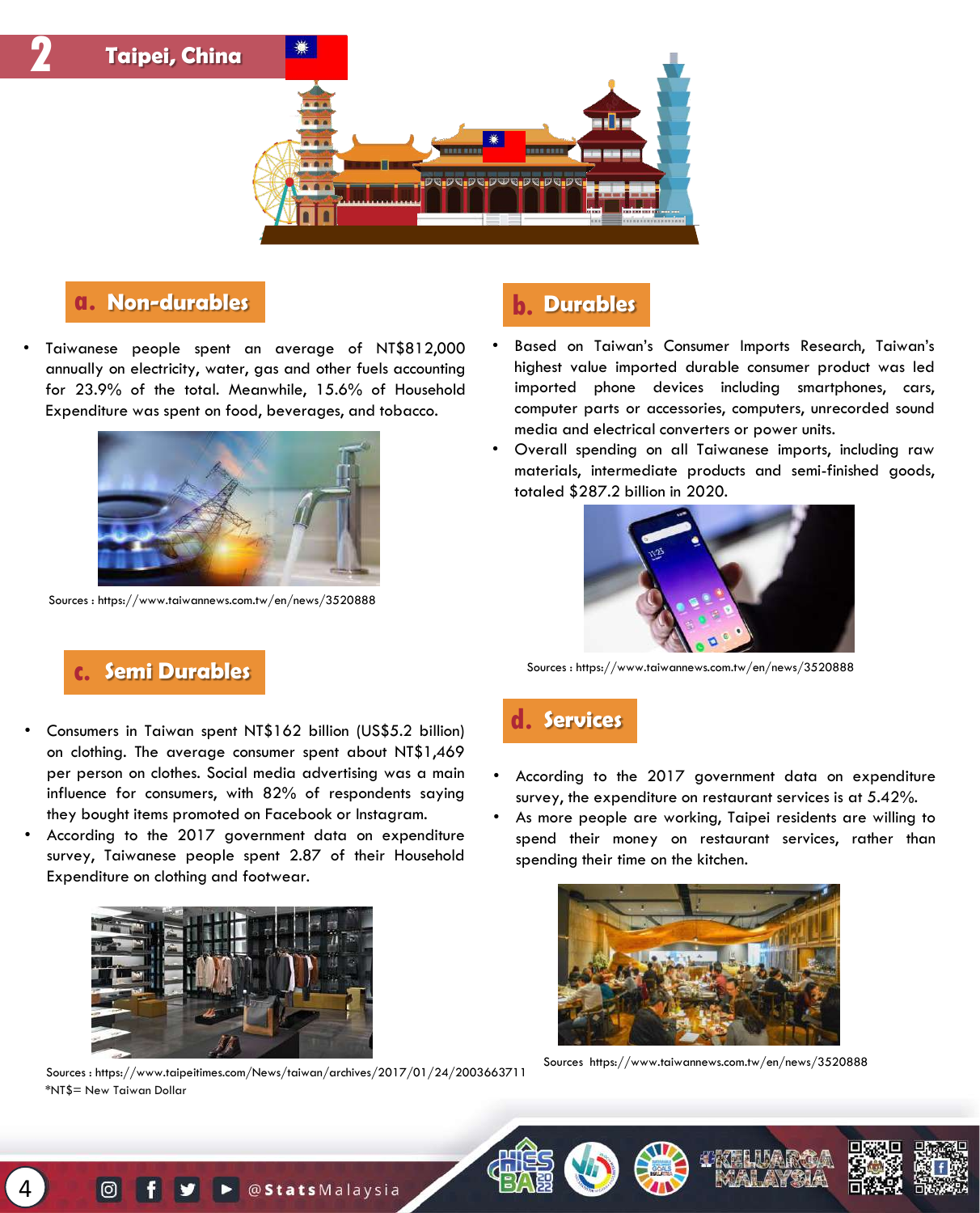

## **a. Non-durables b. Durables**

• Taiwanese people spent an average of NT\$812,000 annually on electricity, water, gas and other fuels accounting for 23.9% of the total. Meanwhile, 15.6% of Household Expenditure was spent on food, beverages, and tobacco.



Sources : https://www.taiwannews.com.tw/en/news/3520888

- Based on Taiwan's Consumer Imports Research, Taiwan's highest value imported durable consumer product was led imported phone devices including smartphones, cars, computer parts or accessories, computers, unrecorded sound media and electrical converters or power units.
- Overall spending on all Taiwanese imports, including raw materials, intermediate products and semi-finished goods, totaled \$287.2 billion in 2020.



Sources : https://www.taiwannews.com.tw/en/news/3520888

## **c. Semi Durables**

- Consumers in Taiwan spent NT\$162 billion (US\$5.2 billion) on clothing. The average consumer spent about NT\$1,469 per person on clothes. Social media advertising was a main influence for consumers, with 82% of respondents saying they bought items promoted on Facebook or Instagram.
- According to the 2017 government data on expenditure survey, Taiwanese people spent 2.87 of their Household Expenditure on clothing and footwear.



Sources : https://www.taipeitimes.com/News/taiwan/archives/2017/01/24/2003663711 \*NT\$= New Taiwan Dollar

## **d. Services**

- According to the 2017 government data on expenditure survey, the expenditure on restaurant services is at 5.42%.
- As more people are working, Taipei residents are willing to spend their money on restaurant services, rather than spending their time on the kitchen.



Sources https://www.taiwannews.com.tw/en/news/3520888

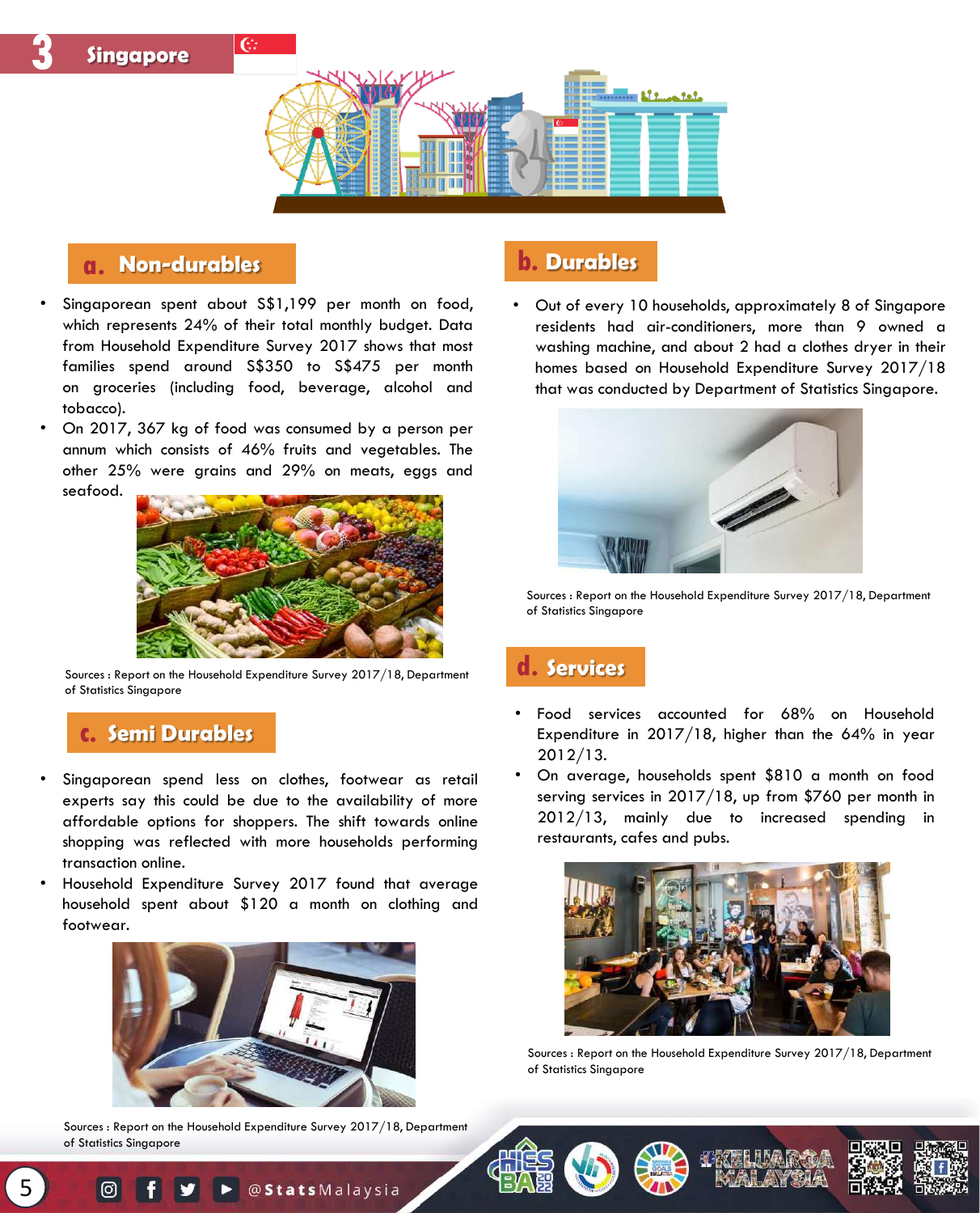

## **a. Non-durables b. Durables**

**Singapore**

**3**

- Singaporean spent about S\$1,199 per month on food, which represents 24% of their total monthly budget. Data from Household Expenditure Survey 2017 shows that most families spend around S\$350 to S\$475 per month on groceries (including food, beverage, alcohol and tobacco).
- On 2017, 367 kg of food was consumed by a person per annum which consists of 46% fruits and vegetables. The other 25% were grains and 29% on meats, eggs and seafood.



Sources : Report on the Household Expenditure Survey 2017/18, Department of Statistics Singapore

## **c. Semi Durables**

- Singaporean spend less on clothes, footwear as retail experts say this could be due to the availability of more affordable options for shoppers. The shift towards online shopping was reflected with more households performing transaction online.
- Household Expenditure Survey 2017 found that average household spent about \$120 a month on clothing and footwear.



Sources : Report on the Household Expenditure Survey 2017/18, Department of Statistics Singapore

• Out of every 10 households, approximately 8 of Singapore residents had air-conditioners, more than 9 owned a washing machine, and about 2 had a clothes dryer in their homes based on Household Expenditure Survey 2017/18 that was conducted by Department of Statistics Singapore.



Sources : Report on the Household Expenditure Survey 2017/18, Department of Statistics Singapore

## **d. Services**

- Food services accounted for 68% on Household Expenditure in 2017/18, higher than the 64% in year 2012/13.
- On average, households spent \$810 a month on food serving services in 2017/18, up from \$760 per month in 2012/13, mainly due to increased spending in restaurants, cafes and pubs.



Sources : Report on the Household Expenditure Survey 2017/18, Department of Statistics Singapore







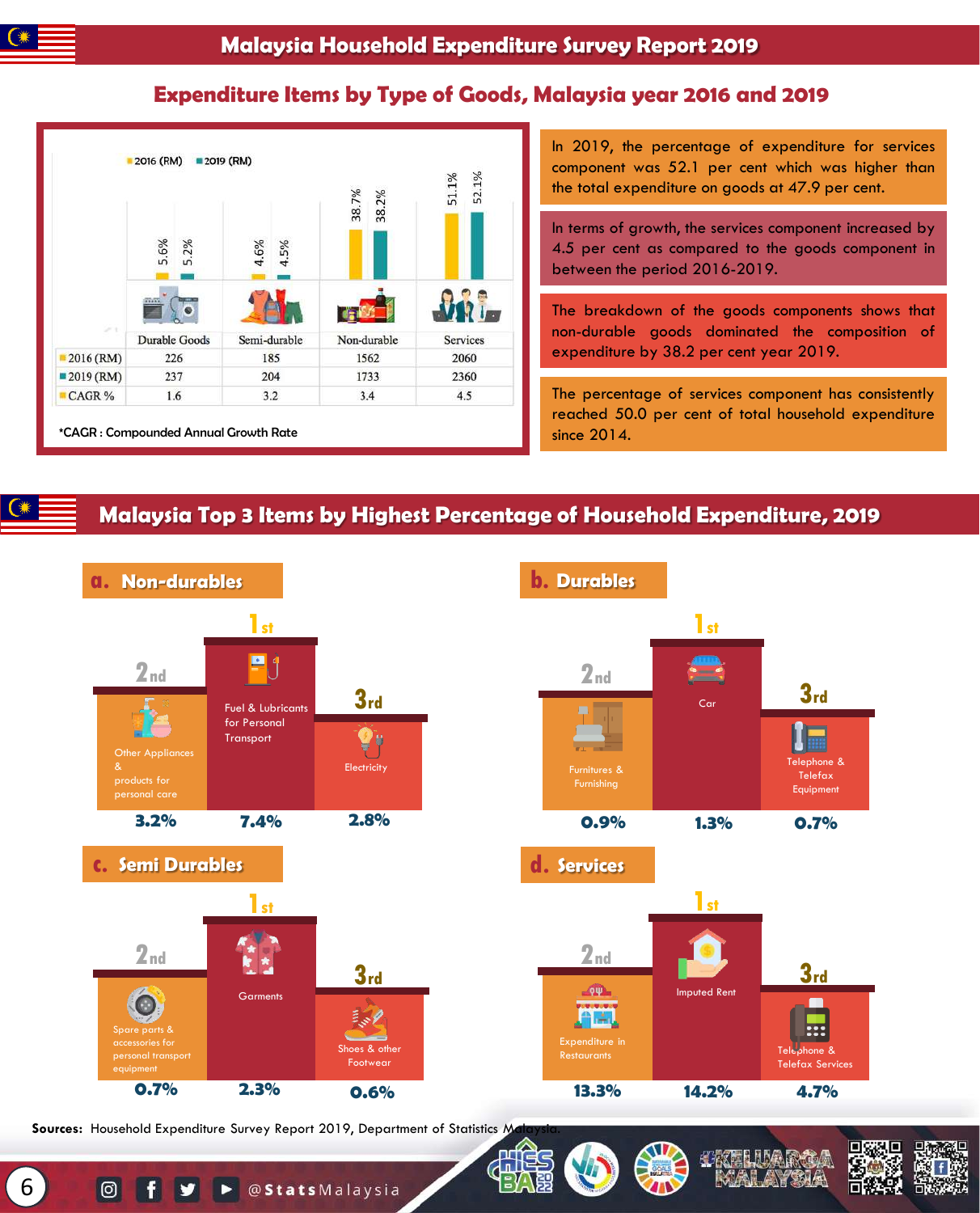## **Expenditure Items by Type of Goods, Malaysia year 2016 and 2019**



In 2019, the percentage of expenditure for services component was 52.1 per cent which was higher than the total expenditure on goods at 47.9 per cent.

In terms of growth, the services component increased by 4.5 per cent as compared to the goods component in between the period 2016-2019.

The breakdown of the goods components shows that non-durable goods dominated the composition of expenditure by 38.2 per cent year 2019.

The percentage of services component has consistently reached 50.0 per cent of total household expenditure since 2014.

## **Malaysia Top 3 Items by Highest Percentage of Household Expenditure, 2019**



**Sources:** Household Expenditure Survey Report 2019, Department of Statistics M